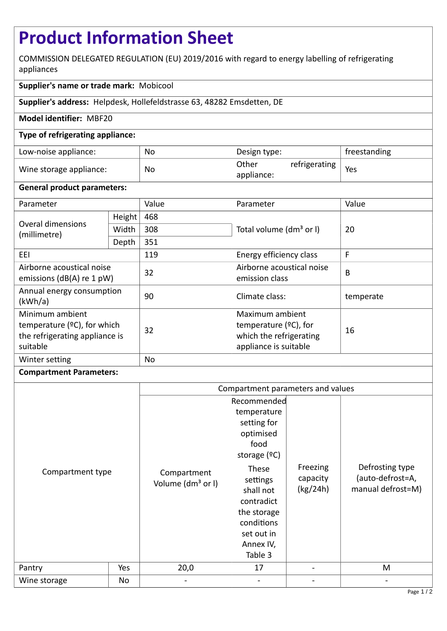# **Product Information Sheet**

COMMISSION DELEGATED REGULATION (EU) 2019/2016 with regard to energy labelling of refrigerating appliances

# **Supplier's name or trade mark:** Mobicool

**Supplier's address:** Helpdesk, Hollefeldstrasse 63, 48282 Emsdetten, DE

## **Model identifier:** MBF20

### **Type of refrigerating appliance:**

| Low-noise appliance:    | No | Design type:        |               | freestanding |
|-------------------------|----|---------------------|---------------|--------------|
| Wine storage appliance: | No | Other<br>appliance: | refrigerating | Yes          |

#### **General product parameters:**

| Parameter                                                                                       |        | Value | Parameter                                                                                       | Value     |
|-------------------------------------------------------------------------------------------------|--------|-------|-------------------------------------------------------------------------------------------------|-----------|
| Overal dimensions<br>(millimetre)                                                               | Height | 468   |                                                                                                 | 20        |
|                                                                                                 | Width  | 308   | Total volume (dm <sup>3</sup> or I)                                                             |           |
|                                                                                                 | Depth  | 351   |                                                                                                 |           |
| EEI                                                                                             |        | 119   | Energy efficiency class                                                                         | F         |
| Airborne acoustical noise<br>emissions ( $dB(A)$ re 1 pW)                                       |        | 32    | Airborne acoustical noise<br>emission class                                                     | B         |
| Annual energy consumption<br>(kWh/a)                                                            |        | 90    | Climate class:                                                                                  | temperate |
| Minimum ambient<br>temperature $(2C)$ , for which<br>the refrigerating appliance is<br>suitable |        | 32    | Maximum ambient<br>temperature $(°C)$ , for<br>which the refrigerating<br>appliance is suitable | 16        |
| Winter setting                                                                                  |        | No    |                                                                                                 |           |

#### **Compartment Parameters:**

|                  |     | Compartment parameters and values                    |                                                                                                                                                                                                           |                                  |                                                               |
|------------------|-----|------------------------------------------------------|-----------------------------------------------------------------------------------------------------------------------------------------------------------------------------------------------------------|----------------------------------|---------------------------------------------------------------|
| Compartment type | Yes | Compartment<br>Volume (dm <sup>3</sup> or I)<br>20,0 | Recommended<br>temperature<br>setting for<br>optimised<br>food<br>storage $(°C)$<br>These<br>settings<br>shall not<br>contradict<br>the storage<br>conditions<br>set out in<br>Annex IV,<br>Table 3<br>17 | Freezing<br>capacity<br>(kg/24h) | Defrosting type<br>(auto-defrost=A,<br>manual defrost=M)<br>M |
| Pantry           |     |                                                      |                                                                                                                                                                                                           |                                  |                                                               |
| Wine storage     | No  |                                                      |                                                                                                                                                                                                           |                                  |                                                               |